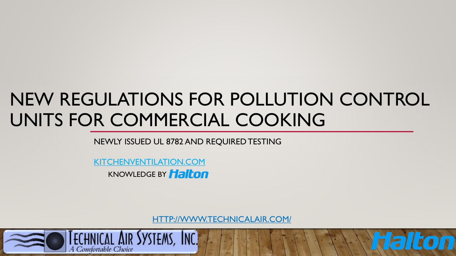# NEW REGULATIONS FOR POLLUTION CONTROL UNITS FOR COMMERCIAL COOKING

NEWLY ISSUED UL 8782 AND REQUIRED TESTING

[KITCHENVENTILATION.COM](https://kitchenventilation.com/)  **KNOWLEDGE BY Halton** 

[HTTP://WWW.TECHNICALAIR.COM/](http://www.technicalair.com/)

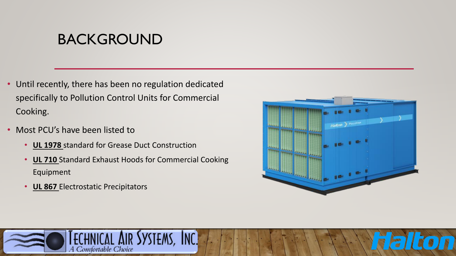## BACKGROUND

- Until recently, there has been no regulation dedicated specifically to Pollution Control Units for Commercial Cooking.
- Most PCU's have been listed to
	- **UL 1978** standard for Grease Duct Construction
	- **UL 710** Standard Exhaust Hoods for Commercial Cooking Equipment
	- **UL 867** Electrostatic Precipitators



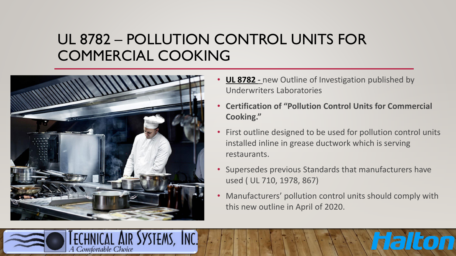## UL 8782 – POLLUTION CONTROL UNITS FOR COMMERCIAL COOKING



A Comfortable Choice

- **UL 8782 -** new Outline of Investigation published by Underwriters Laboratories
- **Certification of "Pollution Control Units for Commercial Cooking."**
- First outline designed to be used for pollution control units installed inline in grease ductwork which is serving restaurants.
- Supersedes previous Standards that manufacturers have used ( UL 710, 1978, 867)
- Manufacturers' pollution control units should comply with this new outline in April of 2020.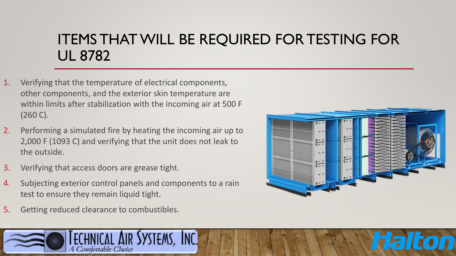# ITEMS THAT WILL BE REQUIRED FOR TESTING FOR UL 8782

- 1. Verifying that the temperature of electrical components, other components, and the exterior skin temperature are within limits after stabilization with the incoming air at 500 F (260 C).
- 2. Performing a simulated fire by heating the incoming air up to 2,000 F (1093 C) and verifying that the unit does not leak to the outside.
- 3. Verifying that access doors are grease tight.
- 4. Subjecting exterior control panels and components to a rain test to ensure they remain liquid tight.
- 5. Getting reduced clearance to combustibles.



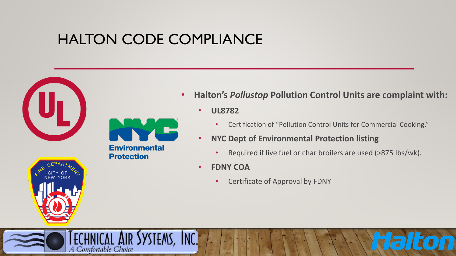# HALTON CODE COMPLIANCE





A Comfortable Choice

**YSTEMS, INC.** 

- **Halton's** *Pollustop* **Pollution Control Units are complaint with:**
	- **UL8782**
		- Certification of "Pollution Control Units for Commercial Cooking."
	- **NYC Dept of Environmental Protection listing** 
		- Required if live fuel or char broilers are used (>875 lbs/wk).

 $\blacksquare$ 

- **FDNY COA** 
	- Certificate of Approval by FDNY